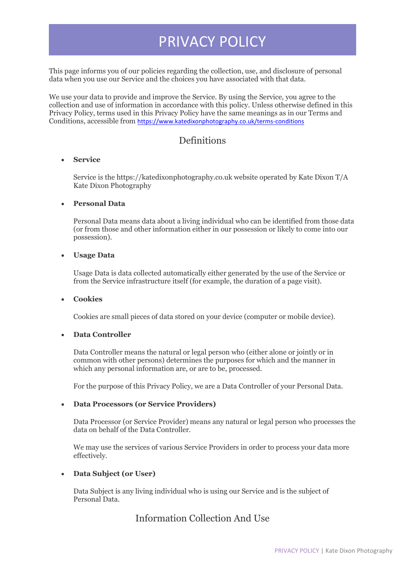This page informs you of our policies regarding the collection, use, and disclosure of personal data when you use our Service and the choices you have associated with that data.

We use your data to provide and improve the Service. By using the Service, you agree to the collection and use of information in accordance with this policy. Unless otherwise defined in this Privacy Policy, terms used in this Privacy Policy have the same meanings as in our Terms and Conditions, accessible from <https://www.katedixonphotography.co.uk/terms-conditions>

# Definitions

### • **Service**

Service is the https://katedixonphotography.co.uk website operated by Kate Dixon T/A Kate Dixon Photography

### • **Personal Data**

Personal Data means data about a living individual who can be identified from those data (or from those and other information either in our possession or likely to come into our possession).

### • **Usage Data**

Usage Data is data collected automatically either generated by the use of the Service or from the Service infrastructure itself (for example, the duration of a page visit).

### • **Cookies**

Cookies are small pieces of data stored on your device (computer or mobile device).

#### • **Data Controller**

Data Controller means the natural or legal person who (either alone or jointly or in common with other persons) determines the purposes for which and the manner in which any personal information are, or are to be, processed.

For the purpose of this Privacy Policy, we are a Data Controller of your Personal Data.

#### • **Data Processors (or Service Providers)**

Data Processor (or Service Provider) means any natural or legal person who processes the data on behalf of the Data Controller.

We may use the services of various Service Providers in order to process your data more effectively.

#### • **Data Subject (or User)**

Data Subject is any living individual who is using our Service and is the subject of Personal Data.

## Information Collection And Use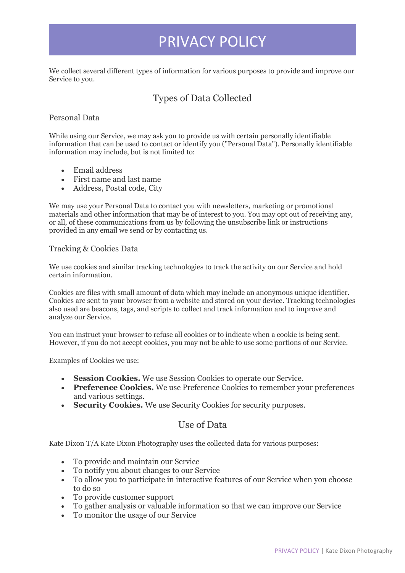We collect several different types of information for various purposes to provide and improve our Service to you.

# Types of Data Collected

### Personal Data

While using our Service, we may ask you to provide us with certain personally identifiable information that can be used to contact or identify you ("Personal Data"). Personally identifiable information may include, but is not limited to:

- Email address
- First name and last name
- Address, Postal code, City

We may use your Personal Data to contact you with newsletters, marketing or promotional materials and other information that may be of interest to you. You may opt out of receiving any, or all, of these communications from us by following the unsubscribe link or instructions provided in any email we send or by contacting us.

### Tracking & Cookies Data

We use cookies and similar tracking technologies to track the activity on our Service and hold certain information.

Cookies are files with small amount of data which may include an anonymous unique identifier. Cookies are sent to your browser from a website and stored on your device. Tracking technologies also used are beacons, tags, and scripts to collect and track information and to improve and analyze our Service.

You can instruct your browser to refuse all cookies or to indicate when a cookie is being sent. However, if you do not accept cookies, you may not be able to use some portions of our Service.

Examples of Cookies we use:

- **Session Cookies.** We use Session Cookies to operate our Service.
- **Preference Cookies.** We use Preference Cookies to remember your preferences and various settings.
- **Security Cookies.** We use Security Cookies for security purposes.

## Use of Data

Kate Dixon T/A Kate Dixon Photography uses the collected data for various purposes:

- To provide and maintain our Service
- To notify you about changes to our Service
- To allow you to participate in interactive features of our Service when you choose to do so
- To provide customer support
- To gather analysis or valuable information so that we can improve our Service
- To monitor the usage of our Service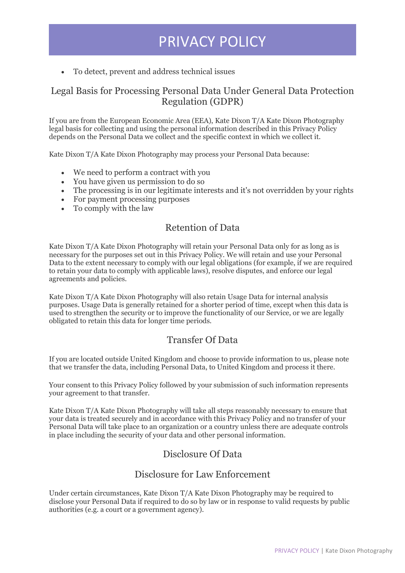• To detect, prevent and address technical issues

# Legal Basis for Processing Personal Data Under General Data Protection Regulation (GDPR)

If you are from the European Economic Area (EEA), Kate Dixon T/A Kate Dixon Photography legal basis for collecting and using the personal information described in this Privacy Policy depends on the Personal Data we collect and the specific context in which we collect it.

Kate Dixon T/A Kate Dixon Photography may process your Personal Data because:

- We need to perform a contract with you
- You have given us permission to do so
- The processing is in our legitimate interests and it's not overridden by your rights
- For payment processing purposes
- To comply with the law

## Retention of Data

Kate Dixon T/A Kate Dixon Photography will retain your Personal Data only for as long as is necessary for the purposes set out in this Privacy Policy. We will retain and use your Personal Data to the extent necessary to comply with our legal obligations (for example, if we are required to retain your data to comply with applicable laws), resolve disputes, and enforce our legal agreements and policies.

Kate Dixon T/A Kate Dixon Photography will also retain Usage Data for internal analysis purposes. Usage Data is generally retained for a shorter period of time, except when this data is used to strengthen the security or to improve the functionality of our Service, or we are legally obligated to retain this data for longer time periods.

## Transfer Of Data

If you are located outside United Kingdom and choose to provide information to us, please note that we transfer the data, including Personal Data, to United Kingdom and process it there.

Your consent to this Privacy Policy followed by your submission of such information represents your agreement to that transfer.

Kate Dixon T/A Kate Dixon Photography will take all steps reasonably necessary to ensure that your data is treated securely and in accordance with this Privacy Policy and no transfer of your Personal Data will take place to an organization or a country unless there are adequate controls in place including the security of your data and other personal information.

## Disclosure Of Data

## Disclosure for Law Enforcement

Under certain circumstances, Kate Dixon T/A Kate Dixon Photography may be required to disclose your Personal Data if required to do so by law or in response to valid requests by public authorities (e.g. a court or a government agency).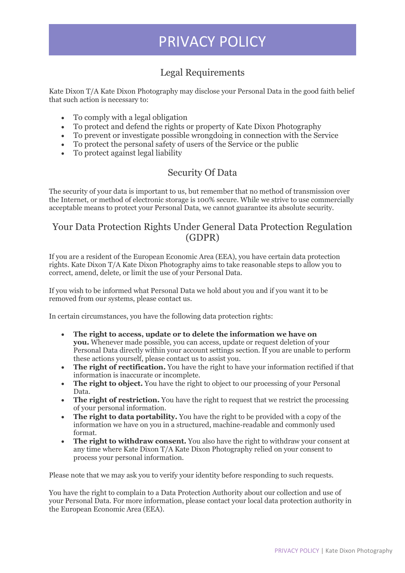# Legal Requirements

Kate Dixon T/A Kate Dixon Photography may disclose your Personal Data in the good faith belief that such action is necessary to:

- To comply with a legal obligation
- To protect and defend the rights or property of Kate Dixon Photography
- To prevent or investigate possible wrongdoing in connection with the Service
- To protect the personal safety of users of the Service or the public
- To protect against legal liability

# Security Of Data

The security of your data is important to us, but remember that no method of transmission over the Internet, or method of electronic storage is 100% secure. While we strive to use commercially acceptable means to protect your Personal Data, we cannot guarantee its absolute security.

## Your Data Protection Rights Under General Data Protection Regulation (GDPR)

If you are a resident of the European Economic Area (EEA), you have certain data protection rights. Kate Dixon T/A Kate Dixon Photography aims to take reasonable steps to allow you to correct, amend, delete, or limit the use of your Personal Data.

If you wish to be informed what Personal Data we hold about you and if you want it to be removed from our systems, please contact us.

In certain circumstances, you have the following data protection rights:

- **The right to access, update or to delete the information we have on you.** Whenever made possible, you can access, update or request deletion of your Personal Data directly within your account settings section. If you are unable to perform these actions yourself, please contact us to assist you.
- **The right of rectification.** You have the right to have your information rectified if that information is inaccurate or incomplete.
- **The right to object.** You have the right to object to our processing of your Personal Data.
- **The right of restriction.** You have the right to request that we restrict the processing of your personal information.
- **The right to data portability.** You have the right to be provided with a copy of the information we have on you in a structured, machine-readable and commonly used format.
- **The right to withdraw consent.** You also have the right to withdraw your consent at any time where Kate Dixon T/A Kate Dixon Photography relied on your consent to process your personal information.

Please note that we may ask you to verify your identity before responding to such requests.

You have the right to complain to a Data Protection Authority about our collection and use of your Personal Data. For more information, please contact your local data protection authority in the European Economic Area (EEA).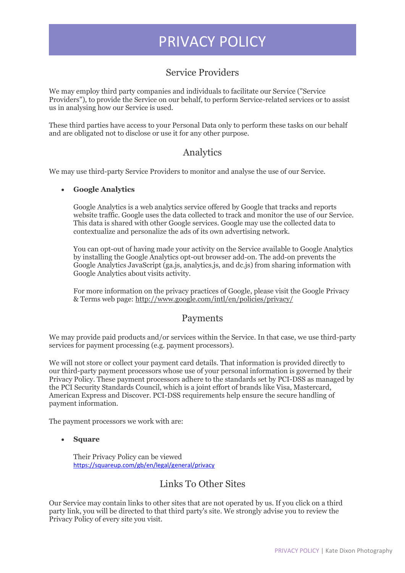# Service Providers

We may employ third party companies and individuals to facilitate our Service ("Service Providers"), to provide the Service on our behalf, to perform Service-related services or to assist us in analysing how our Service is used.

These third parties have access to your Personal Data only to perform these tasks on our behalf and are obligated not to disclose or use it for any other purpose.

## Analytics

We may use third-party Service Providers to monitor and analyse the use of our Service.

### • **Google Analytics**

Google Analytics is a web analytics service offered by Google that tracks and reports website traffic. Google uses the data collected to track and monitor the use of our Service. This data is shared with other Google services. Google may use the collected data to contextualize and personalize the ads of its own advertising network.

You can opt-out of having made your activity on the Service available to Google Analytics by installing the Google Analytics opt-out browser add-on. The add-on prevents the Google Analytics JavaScript (ga.js, analytics.js, and dc.js) from sharing information with Google Analytics about visits activity.

For more information on the privacy practices of Google, please visit the Google Privacy & Terms web page: <http://www.google.com/intl/en/policies/privacy/>

## Payments

We may provide paid products and/or services within the Service. In that case, we use third-party services for payment processing (e.g. payment processors).

We will not store or collect your payment card details. That information is provided directly to our third-party payment processors whose use of your personal information is governed by their Privacy Policy. These payment processors adhere to the standards set by PCI-DSS as managed by the PCI Security Standards Council, which is a joint effort of brands like Visa, Mastercard, American Express and Discover. PCI-DSS requirements help ensure the secure handling of payment information.

The payment processors we work with are:

• **Square**

Their Privacy Policy can be viewed <https://squareup.com/gb/en/legal/general/privacy>

## Links To Other Sites

Our Service may contain links to other sites that are not operated by us. If you click on a third party link, you will be directed to that third party's site. We strongly advise you to review the Privacy Policy of every site you visit.